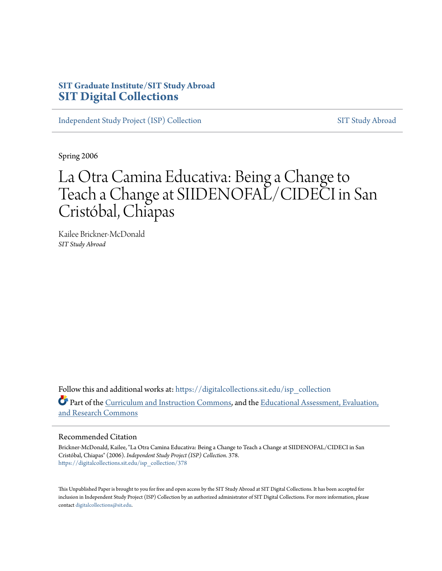## **SIT Graduate Institute/SIT Study Abroad [SIT Digital Collections](https://digitalcollections.sit.edu?utm_source=digitalcollections.sit.edu%2Fisp_collection%2F378&utm_medium=PDF&utm_campaign=PDFCoverPages)**

[Independent Study Project \(ISP\) Collection](https://digitalcollections.sit.edu/isp_collection?utm_source=digitalcollections.sit.edu%2Fisp_collection%2F378&utm_medium=PDF&utm_campaign=PDFCoverPages) [SIT Study Abroad](https://digitalcollections.sit.edu/study_abroad?utm_source=digitalcollections.sit.edu%2Fisp_collection%2F378&utm_medium=PDF&utm_campaign=PDFCoverPages)

Spring 2006

## La Otra Camina Educativa: Being a Change to Teach a Change at SIIDENOFAL/CIDECI in San Cristóbal, Chiapas

Kailee Brickner-McDonald *SIT Study Abroad*

Follow this and additional works at: [https://digitalcollections.sit.edu/isp\\_collection](https://digitalcollections.sit.edu/isp_collection?utm_source=digitalcollections.sit.edu%2Fisp_collection%2F378&utm_medium=PDF&utm_campaign=PDFCoverPages) Part of the [Curriculum and Instruction Commons](http://network.bepress.com/hgg/discipline/786?utm_source=digitalcollections.sit.edu%2Fisp_collection%2F378&utm_medium=PDF&utm_campaign=PDFCoverPages), and the [Educational Assessment, Evaluation,](http://network.bepress.com/hgg/discipline/796?utm_source=digitalcollections.sit.edu%2Fisp_collection%2F378&utm_medium=PDF&utm_campaign=PDFCoverPages) [and Research Commons](http://network.bepress.com/hgg/discipline/796?utm_source=digitalcollections.sit.edu%2Fisp_collection%2F378&utm_medium=PDF&utm_campaign=PDFCoverPages)

#### Recommended Citation

Brickner-McDonald, Kailee, "La Otra Camina Educativa: Being a Change to Teach a Change at SIIDENOFAL/CIDECI in San Cristóbal, Chiapas" (2006). *Independent Study Project (ISP) Collection*. 378. [https://digitalcollections.sit.edu/isp\\_collection/378](https://digitalcollections.sit.edu/isp_collection/378?utm_source=digitalcollections.sit.edu%2Fisp_collection%2F378&utm_medium=PDF&utm_campaign=PDFCoverPages)

This Unpublished Paper is brought to you for free and open access by the SIT Study Abroad at SIT Digital Collections. It has been accepted for inclusion in Independent Study Project (ISP) Collection by an authorized administrator of SIT Digital Collections. For more information, please contact [digitalcollections@sit.edu](mailto:digitalcollections@sit.edu).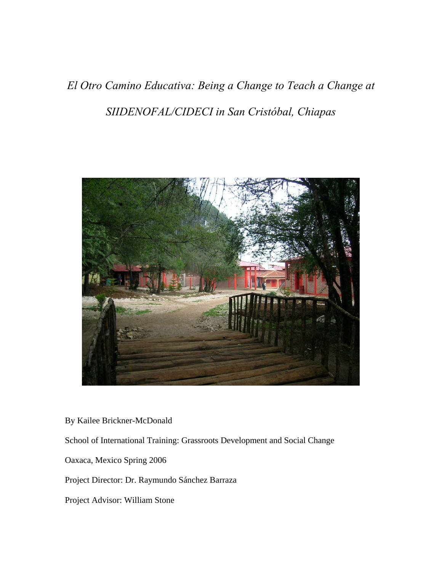# *El Otro Camino Educativa: Being a Change to Teach a Change at SIIDENOFAL/CIDECI in San Cristóbal, Chiapas*



By Kailee Brickner-McDonald

School of International Training: Grassroots Development and Social Change

Oaxaca, Mexico Spring 2006

Project Director: Dr. Raymundo Sánchez Barraza

Project Advisor: William Stone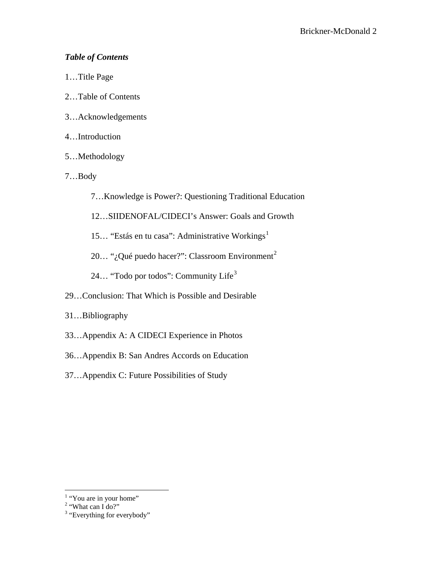## *Table of Contents*

- 1…Title Page
- 2…Table of Contents
- 3…Acknowledgements
- 4…Introduction
- 5…Methodology
- 7…Body
	- 7…Knowledge is Power?: Questioning Traditional Education
	- 12…SIIDENOFAL/CIDECI's Answer: Goals and Growth
	- [1](#page-2-0)5... "Estás en tu casa": Administrative Workings<sup>1</sup>
	- [2](#page-2-1)0... "¿Qué puedo hacer?": Classroom Environment<sup>2</sup>
	- 24... "Todo por todos": Community Life<sup>[3](#page-2-2)</sup>
- 29…Conclusion: That Which is Possible and Desirable
- 31…Bibliography
- 33…Appendix A: A CIDECI Experience in Photos
- 36…Appendix B: San Andres Accords on Education
- 37…Appendix C: Future Possibilities of Study

<span id="page-2-0"></span> $1$  "You are in your home"

<span id="page-2-1"></span><sup>&</sup>lt;sup>2</sup> "What can I do?"

<span id="page-2-2"></span><sup>&</sup>lt;sup>3</sup> "Everything for everybody"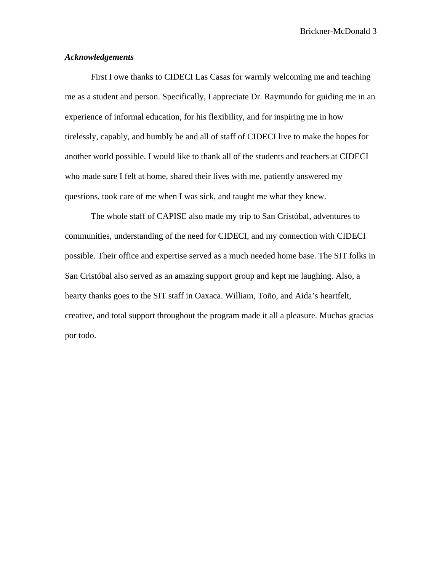#### *Acknowledgements*

First I owe thanks to CIDECI Las Casas for warmly welcoming me and teaching me as a student and person. Specifically, I appreciate Dr. Raymundo for guiding me in an experience of informal education, for his flexibility, and for inspiring me in how tirelessly, capably, and humbly he and all of staff of CIDECI live to make the hopes for another world possible. I would like to thank all of the students and teachers at CIDECI who made sure I felt at home, shared their lives with me, patiently answered my questions, took care of me when I was sick, and taught me what they knew.

 The whole staff of CAPISE also made my trip to San Cristóbal, adventures to communities, understanding of the need for CIDECI, and my connection with CIDECI possible. Their office and expertise served as a much needed home base. The SIT folks in San Cristóbal also served as an amazing support group and kept me laughing. Also, a hearty thanks goes to the SIT staff in Oaxaca. William, Toño, and Aida's heartfelt, creative, and total support throughout the program made it all a pleasure. Muchas gracias por todo.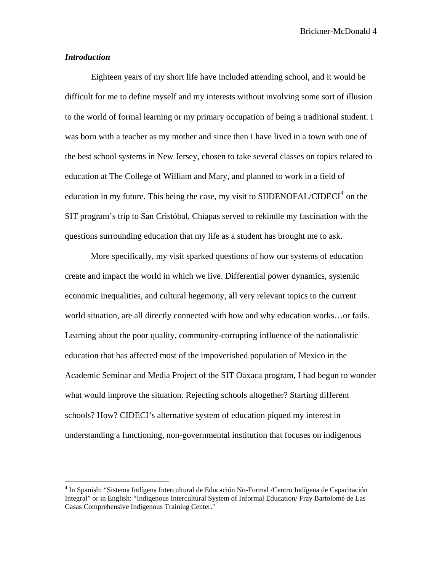#### *Introduction*

 $\overline{a}$ 

Eighteen years of my short life have included attending school, and it would be difficult for me to define myself and my interests without involving some sort of illusion to the world of formal learning or my primary occupation of being a traditional student. I was born with a teacher as my mother and since then I have lived in a town with one of the best school systems in New Jersey, chosen to take several classes on topics related to education at The College of William and Mary, and planned to work in a field of education in my future. This being the case, my visit to SIIDENOFAL/CIDECI<sup>[4](#page-4-0)</sup> on the SIT program's trip to San Cristóbal, Chiapas served to rekindle my fascination with the questions surrounding education that my life as a student has brought me to ask.

More specifically, my visit sparked questions of how our systems of education create and impact the world in which we live. Differential power dynamics, systemic economic inequalities, and cultural hegemony, all very relevant topics to the current world situation, are all directly connected with how and why education works…or fails. Learning about the poor quality, community-corrupting influence of the nationalistic education that has affected most of the impoverished population of Mexico in the Academic Seminar and Media Project of the SIT Oaxaca program, I had begun to wonder what would improve the situation. Rejecting schools altogether? Starting different schools? How? CIDECI's alternative system of education piqued my interest in understanding a functioning, non-governmental institution that focuses on indigenous

<span id="page-4-0"></span><sup>&</sup>lt;sup>4</sup> In Spanish: "Sistema Indígena Intercultural de Educación No-Formal /Centro Indígena de Capacitación Integral" or in English: "Indigenous Intercultural System of Informal Education/ Fray Bartolomé de Las Casas Comprehensive Indigenous Training Center."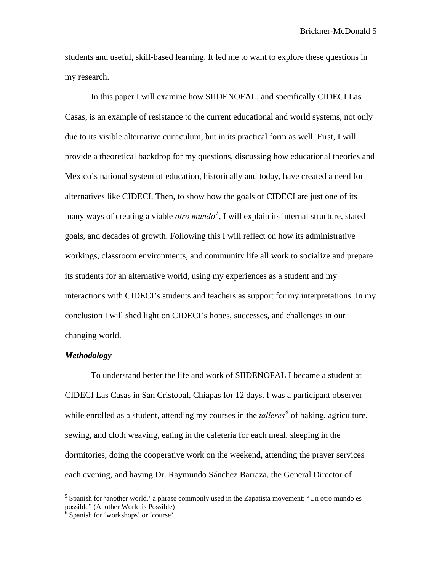students and useful, skill-based learning. It led me to want to explore these questions in my research.

In this paper I will examine how SIIDENOFAL, and specifically CIDECI Las Casas, is an example of resistance to the current educational and world systems, not only due to its visible alternative curriculum, but in its practical form as well. First, I will provide a theoretical backdrop for my questions, discussing how educational theories and Mexico's national system of education, historically and today, have created a need for alternatives like CIDECI. Then, to show how the goals of CIDECI are just one of its many ways of creating a viable *otro mundo[5](#page-5-0)* , I will explain its internal structure, stated goals, and decades of growth. Following this I will reflect on how its administrative workings, classroom environments, and community life all work to socialize and prepare its students for an alternative world, using my experiences as a student and my interactions with CIDECI's students and teachers as support for my interpretations. In my conclusion I will shed light on CIDECI's hopes, successes, and challenges in our changing world.

#### *Methodology*

 $\overline{a}$ 

 To understand better the life and work of SIIDENOFAL I became a student at CIDECI Las Casas in San Cristóbal, Chiapas for 12 days. I was a participant observer while enrolled as a student, attending my courses in the *talleres*<sup>[6](#page-5-1)</sup> of baking, agriculture, sewing, and cloth weaving, eating in the cafeteria for each meal, sleeping in the dormitories, doing the cooperative work on the weekend, attending the prayer services each evening, and having Dr. Raymundo Sánchez Barraza, the General Director of

<span id="page-5-0"></span><sup>&</sup>lt;sup>5</sup> Spanish for 'another world,' a phrase commonly used in the Zapatista movement: "Un otro mundo es possible" (Another World is Possible)<br><sup>6</sup> Spanish for 'workshops' or 'course'

<span id="page-5-1"></span>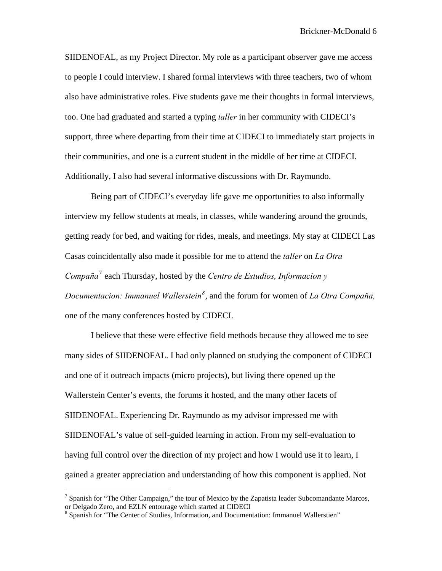SIIDENOFAL, as my Project Director. My role as a participant observer gave me access to people I could interview. I shared formal interviews with three teachers, two of whom also have administrative roles. Five students gave me their thoughts in formal interviews, too. One had graduated and started a typing *taller* in her community with CIDECI's support, three where departing from their time at CIDECI to immediately start projects in their communities, and one is a current student in the middle of her time at CIDECI. Additionally, I also had several informative discussions with Dr. Raymundo.

Being part of CIDECI's everyday life gave me opportunities to also informally interview my fellow students at meals, in classes, while wandering around the grounds, getting ready for bed, and waiting for rides, meals, and meetings. My stay at CIDECI Las Casas coincidentally also made it possible for me to attend the *taller* on *La Otra Compaña*[7](#page-6-0) each Thursday, hosted by the *Centro de Estudios, Informacion y Documentacion: Immanuel Wallerstein[8](#page-6-1)* , and the forum for women of *La Otra Compaňa,*  one of the many conferences hosted by CIDECI.

I believe that these were effective field methods because they allowed me to see many sides of SIIDENOFAL. I had only planned on studying the component of CIDECI and one of it outreach impacts (micro projects), but living there opened up the Wallerstein Center's events, the forums it hosted, and the many other facets of SIIDENOFAL. Experiencing Dr. Raymundo as my advisor impressed me with SIIDENOFAL's value of self-guided learning in action. From my self-evaluation to having full control over the direction of my project and how I would use it to learn, I gained a greater appreciation and understanding of how this component is applied. Not

<span id="page-6-0"></span><sup>&</sup>lt;sup>7</sup> Spanish for "The Other Campaign," the tour of Mexico by the Zapatista leader Subcomandante Marcos, or Delgado Zero, and EZLN entourage which started at CIDECI

<span id="page-6-1"></span><sup>&</sup>lt;sup>8</sup> Spanish for "The Center of Studies, Information, and Documentation: Immanuel Wallerstien"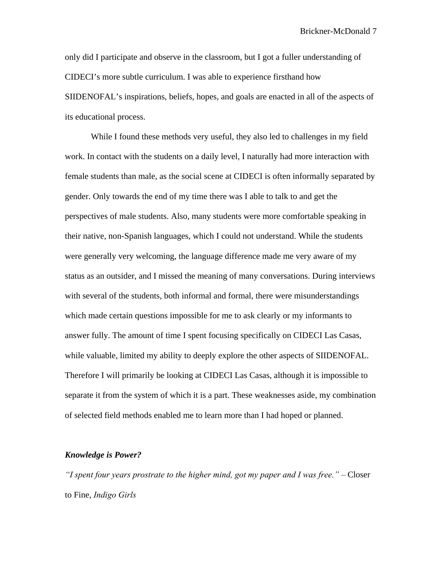only did I participate and observe in the classroom, but I got a fuller understanding of CIDECI's more subtle curriculum. I was able to experience firsthand how SIIDENOFAL's inspirations, beliefs, hopes, and goals are enacted in all of the aspects of its educational process.

While I found these methods very useful, they also led to challenges in my field work. In contact with the students on a daily level, I naturally had more interaction with female students than male, as the social scene at CIDECI is often informally separated by gender. Only towards the end of my time there was I able to talk to and get the perspectives of male students. Also, many students were more comfortable speaking in their native, non-Spanish languages, which I could not understand. While the students were generally very welcoming, the language difference made me very aware of my status as an outsider, and I missed the meaning of many conversations. During interviews with several of the students, both informal and formal, there were misunderstandings which made certain questions impossible for me to ask clearly or my informants to answer fully. The amount of time I spent focusing specifically on CIDECI Las Casas, while valuable, limited my ability to deeply explore the other aspects of SIIDENOFAL. Therefore I will primarily be looking at CIDECI Las Casas, although it is impossible to separate it from the system of which it is a part. These weaknesses aside, my combination of selected field methods enabled me to learn more than I had hoped or planned.

#### *Knowledge is Power?*

*"I spent four years prostrate to the higher mind, got my paper and I was free." –* Closer to Fine, *Indigo Girls*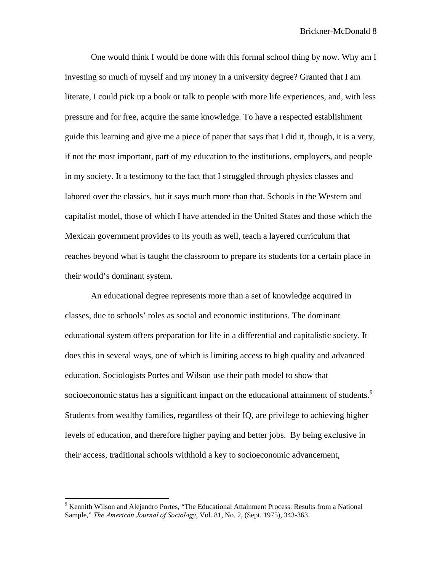One would think I would be done with this formal school thing by now. Why am I investing so much of myself and my money in a university degree? Granted that I am literate, I could pick up a book or talk to people with more life experiences, and, with less pressure and for free, acquire the same knowledge. To have a respected establishment guide this learning and give me a piece of paper that says that I did it, though, it is a very, if not the most important, part of my education to the institutions, employers, and people in my society. It a testimony to the fact that I struggled through physics classes and labored over the classics, but it says much more than that. Schools in the Western and capitalist model, those of which I have attended in the United States and those which the Mexican government provides to its youth as well, teach a layered curriculum that reaches beyond what is taught the classroom to prepare its students for a certain place in their world's dominant system.

An educational degree represents more than a set of knowledge acquired in classes, due to schools' roles as social and economic institutions. The dominant educational system offers preparation for life in a differential and capitalistic society. It does this in several ways, one of which is limiting access to high quality and advanced education. Sociologists Portes and Wilson use their path model to show that socioeconomic status has a significant impact on the educational attainment of students.<sup>[9](#page-8-0)</sup> Students from wealthy families, regardless of their IQ, are privilege to achieving higher levels of education, and therefore higher paying and better jobs. By being exclusive in their access, traditional schools withhold a key to socioeconomic advancement,

<span id="page-8-0"></span><sup>&</sup>lt;sup>9</sup> Kennith Wilson and Alejandro Portes, "The Educational Attainment Process: Results from a National Sample," *The American Journal of Sociology*, Vol. 81, No. 2, (Sept. 1975), 343-363.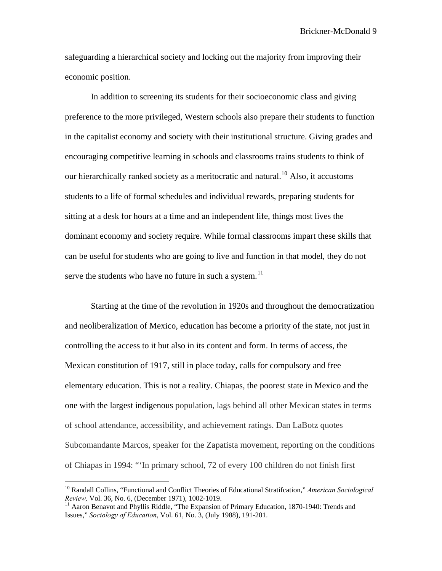safeguarding a hierarchical society and locking out the majority from improving their economic position.

In addition to screening its students for their socioeconomic class and giving preference to the more privileged, Western schools also prepare their students to function in the capitalist economy and society with their institutional structure. Giving grades and encouraging competitive learning in schools and classrooms trains students to think of our hierarchically ranked society as a meritocratic and natural.<sup>[10](#page-9-0)</sup> Also, it accustoms students to a life of formal schedules and individual rewards, preparing students for sitting at a desk for hours at a time and an independent life, things most lives the dominant economy and society require. While formal classrooms impart these skills that can be useful for students who are going to live and function in that model, they do not serve the students who have no future in such a system.<sup>[11](#page-9-1)</sup>

Starting at the time of the revolution in 1920s and throughout the democratization and neoliberalization of Mexico, education has become a priority of the state, not just in controlling the access to it but also in its content and form. In terms of access, the Mexican constitution of 1917, still in place today, calls for compulsory and free elementary education. This is not a reality. Chiapas, the poorest state in Mexico and the one with the largest indigenous population, lags behind all other Mexican states in terms of school attendance, accessibility, and achievement ratings. Dan LaBotz quotes Subcomandante Marcos, speaker for the Zapatista movement, reporting on the conditions of Chiapas in 1994: "'In primary school, 72 of every 100 children do not finish first

<span id="page-9-0"></span><sup>10</sup> Randall Collins, "Functional and Conflict Theories of Educational Stratifcation," *American Sociological Review, Vol. 36, No. 6, (December 1971), 1002-1019.*<br><sup>11</sup> Aaron Benavot and Phyllis Riddle, "The Expansion of Primary Education, 1870-1940: Trends and

<span id="page-9-1"></span>Issues," *Sociology of Education*, Vol. 61, No. 3, (July 1988), 191-201.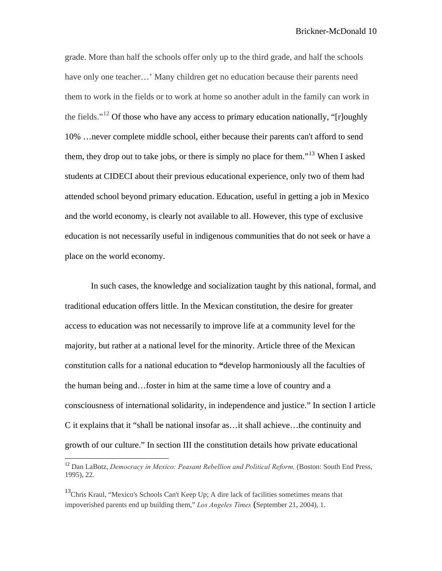grade. More than half the schools offer only up to the third grade, and half the schools have only one teacher...' Many children get no education because their parents need them to work in the fields or to work at home so another adult in the family can work in the fields."<sup>[12](#page-10-0)</sup> Of those who have any access to primary education nationally, "[r]oughly 10% …never complete middle school, either because their parents can't afford to send them, they drop out to take jobs, or there is simply no place for them."[13](#page-10-1) When I asked students at CIDECI about their previous educational experience, only two of them had attended school beyond primary education. Education, useful in getting a job in Mexico and the world economy, is clearly not available to all. However, this type of exclusive education is not necessarily useful in indigenous communities that do not seek or have a place on the world economy.

In such cases, the knowledge and socialization taught by this national, formal, and traditional education offers little. In the Mexican constitution, the desire for greater access to education was not necessarily to improve life at a community level for the majority, but rather at a national level for the minority. Article three of the Mexican constitution calls for a national education to **"**develop harmoniously all the faculties of the human being and…foster in him at the same time a love of country and a consciousness of international solidarity, in independence and justice." In section I article C it explains that it "shall be national insofar as…it shall achieve…the continuity and growth of our culture." In section III the constitution details how private educational

<span id="page-10-0"></span><sup>&</sup>lt;sup>12</sup> Dan LaBotz, *Democracy in Mexico: Peasant Rebellion and Political Reform*, (Boston: South End Press, 1995), 22.

<span id="page-10-1"></span><sup>&</sup>lt;sup>13</sup>Chris Kraul, "Mexico's Schools Can't Keep Up; A dire lack of facilities sometimes means that impoverished parents end up building them," *Los Angeles Times* (September 21, 2004), 1.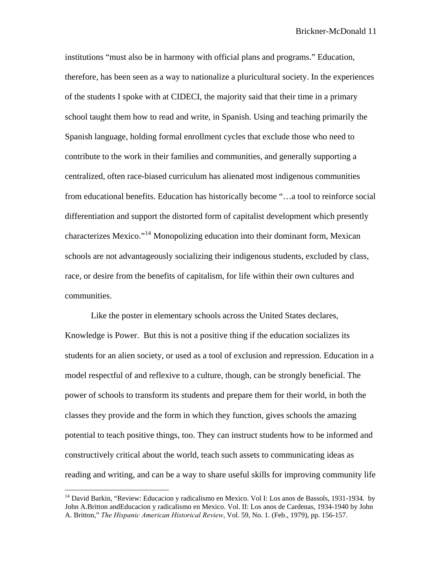institutions "must also be in harmony with official plans and programs." Education, therefore, has been seen as a way to nationalize a pluricultural society. In the experiences of the students I spoke with at CIDECI, the majority said that their time in a primary school taught them how to read and write, in Spanish. Using and teaching primarily the Spanish language, holding formal enrollment cycles that exclude those who need to contribute to the work in their families and communities, and generally supporting a centralized, often race-biased curriculum has alienated most indigenous communities from educational benefits. Education has historically become "…a tool to reinforce social differentiation and support the distorted form of capitalist development which presently characterizes Mexico."[14](#page-11-0) Monopolizing education into their dominant form, Mexican schools are not advantageously socializing their indigenous students, excluded by class, race, or desire from the benefits of capitalism, for life within their own cultures and communities.

Like the poster in elementary schools across the United States declares, Knowledge is Power. But this is not a positive thing if the education socializes its students for an alien society, or used as a tool of exclusion and repression. Education in a model respectful of and reflexive to a culture, though, can be strongly beneficial. The power of schools to transform its students and prepare them for their world, in both the classes they provide and the form in which they function, gives schools the amazing potential to teach positive things, too. They can instruct students how to be informed and constructively critical about the world, teach such assets to communicating ideas as reading and writing, and can be a way to share useful skills for improving community life

<span id="page-11-0"></span><sup>&</sup>lt;sup>14</sup> David Barkin, "Review: [Educacion y radicalismo en Mexico. Vol I: Los anos de Bassols, 1931-1934.](http://www.jstor.org.proxy.wm.edu/view/00182168/di008634/00p0035f/0?frame=noframe&userID=80ef638c@wm.edu/01cce4401f1562610b1c827c35&dpi=3&config=jstor) by John A.Britton andEducacion y radicalismo en Mexico. Vol. II: Los anos de Cardenas, 1934-1940 by John A. Britton," *The Hispanic American Historical Review*, Vol. 59, No. 1. (Feb., 1979), pp. 156-157.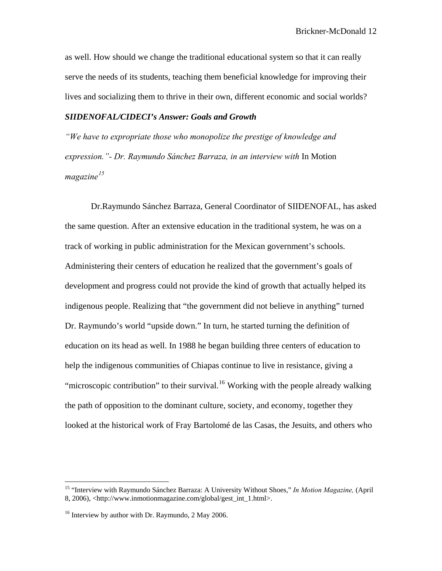as well. How should we change the traditional educational system so that it can really serve the needs of its students, teaching them beneficial knowledge for improving their lives and socializing them to thrive in their own, different economic and social worlds?

#### *SIIDENOFAL/CIDECI's Answer: Goals and Growth*

*"We have to expropriate those who monopolize the prestige of knowledge and expression."- Dr. Raymundo Sánchez Barraza, in an interview with* In Motion *magazine[15](#page-12-0)*

Dr.Raymundo Sánchez Barraza, General Coordinator of SIIDENOFAL, has asked the same question. After an extensive education in the traditional system, he was on a track of working in public administration for the Mexican government's schools. Administering their centers of education he realized that the government's goals of development and progress could not provide the kind of growth that actually helped its indigenous people. Realizing that "the government did not believe in anything" turned Dr. Raymundo's world "upside down." In turn, he started turning the definition of education on its head as well. In 1988 he began building three centers of education to help the indigenous communities of Chiapas continue to live in resistance, giving a "microscopic contribution" to their survival.<sup>[16](#page-12-1)</sup> Working with the people already walking the path of opposition to the dominant culture, society, and economy, together they looked at the historical work of Fray Bartolomé de las Casas, the Jesuits, and others who

<span id="page-12-0"></span><sup>15 &</sup>quot;Interview with Raymundo Sánchez Barraza: A University Without Shoes," *In Motion Magazine,* (April 8, 2006), <http://www.inmotionmagazine.com/global/gest\_int\_1.html>.

<span id="page-12-1"></span><sup>&</sup>lt;sup>16</sup> Interview by author with Dr. Raymundo, 2 May 2006.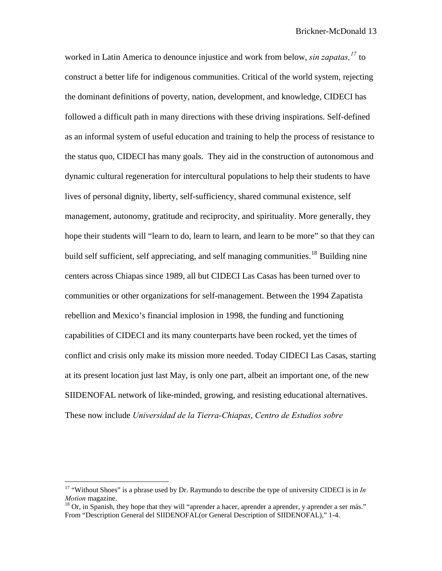worked in Latin America to denounce injustice and work from below, *sin zapatas,[17](#page-13-0)* to construct a better life for indigenous communities. Critical of the world system, rejecting the dominant definitions of poverty, nation, development, and knowledge, CIDECI has followed a difficult path in many directions with these driving inspirations. Self-defined as an informal system of useful education and training to help the process of resistance to the status quo, CIDECI has many goals. They aid in the construction of autonomous and dynamic cultural regeneration for intercultural populations to help their students to have lives of personal dignity, liberty, self-sufficiency, shared communal existence, self management, autonomy, gratitude and reciprocity, and spirituality. More generally, they hope their students will "learn to do, learn to learn, and learn to be more" so that they can build self sufficient, self appreciating, and self managing communities.<sup>[18](#page-13-1)</sup> Building nine centers across Chiapas since 1989, all but CIDECI Las Casas has been turned over to communities or other organizations for self-management. Between the 1994 Zapatista rebellion and Mexico's financial implosion in 1998, the funding and functioning capabilities of CIDECI and its many counterparts have been rocked, yet the times of conflict and crisis only make its mission more needed. Today CIDECI Las Casas, starting at its present location just last May, is only one part, albeit an important one, of the new SIIDENOFAL network of like-minded, growing, and resisting educational alternatives. These now include *Universidad de la Tierra-Chiapas*, *Centro de Estudios sobre* 

<span id="page-13-0"></span><sup>17 &</sup>quot;Without Shoes" is a phrase used by Dr. Raymundo to describe the type of university CIDECI is in *In Motion* magazine.<br><sup>18</sup> Or, in Spanish, they hope that they will "aprender a hacer, aprender a aprender, y aprender a ser más."

<span id="page-13-1"></span>From "Description General del SIIDENOFAL(or General Description of SIIDENOFAL)," 1-4.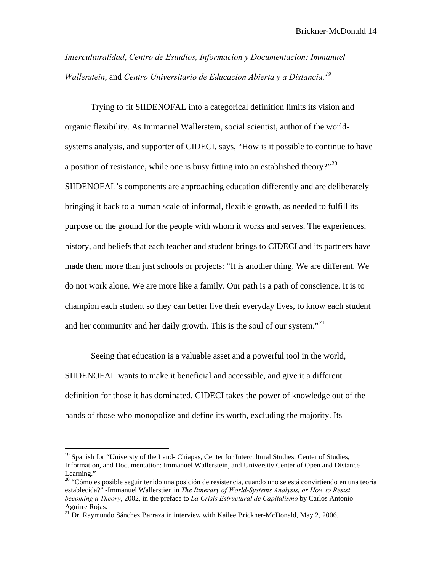*Interculturalidad*, *Centro de Estudios, Informacion y Documentacion: Immanuel Wallerstein*, and *Centro Universitario de Educacion Abierta y a Distancia.[19](#page-14-0)*

Trying to fit SIIDENOFAL into a categorical definition limits its vision and organic flexibility. As Immanuel Wallerstein, social scientist, author of the worldsystems analysis, and supporter of CIDECI, says, "How is it possible to continue to have a position of resistance, while one is busy fitting into an established theory?"<sup>[20](#page-14-1)</sup> SIIDENOFAL's components are approaching education differently and are deliberately bringing it back to a human scale of informal, flexible growth, as needed to fulfill its purpose on the ground for the people with whom it works and serves. The experiences, history, and beliefs that each teacher and student brings to CIDECI and its partners have made them more than just schools or projects: "It is another thing. We are different. We do not work alone. We are more like a family. Our path is a path of conscience. It is to champion each student so they can better live their everyday lives, to know each student and her community and her daily growth. This is the soul of our system."<sup>[21](#page-14-2)</sup>

Seeing that education is a valuable asset and a powerful tool in the world, SIIDENOFAL wants to make it beneficial and accessible, and give it a different definition for those it has dominated. CIDECI takes the power of knowledge out of the hands of those who monopolize and define its worth, excluding the majority. Its

<span id="page-14-0"></span><sup>&</sup>lt;sup>19</sup> Spanish for "Universty of the Land- Chiapas, Center for Intercultural Studies, Center of Studies, Information, and Documentation: Immanuel Wallerstein, and University Center of Open and Distance Learning."

<span id="page-14-1"></span><sup>&</sup>lt;sup>20</sup> "Cómo es posible seguir tenido una posición de resistencia, cuando uno se está convirtiendo en una teoría establecida?" -Immanuel Wallerstien in *The Itinerary of World-Systems Analysis, or How to Resist becoming a Theory*, 2002, in the preface to *La Crisis Estructural de Capitalismo* by Carlos Antonio Aguirre Rojas.

<span id="page-14-2"></span><sup>&</sup>lt;sup>21</sup> Dr. Raymundo Sánchez Barraza in interview with Kailee Brickner-McDonald, May 2, 2006.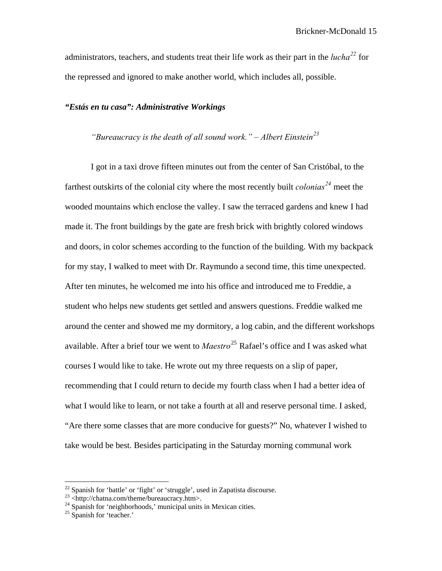administrators, teachers, and students treat their life work as their part in the *lucha[22](#page-15-0)* for the repressed and ignored to make another world, which includes all, possible.

#### *"Estás en tu casa": Administrative Workings*

## *"Bureaucracy is the death of all sound work." – Albert Einstein[23](#page-15-1)*

I got in a taxi drove fifteen minutes out from the center of San Cristóbal, to the farthest outskirts of the colonial city where the most recently built *colonias[24](#page-15-2)* meet the wooded mountains which enclose the valley. I saw the terraced gardens and knew I had made it. The front buildings by the gate are fresh brick with brightly colored windows and doors, in color schemes according to the function of the building. With my backpack for my stay, I walked to meet with Dr. Raymundo a second time, this time unexpected. After ten minutes, he welcomed me into his office and introduced me to Freddie, a student who helps new students get settled and answers questions. Freddie walked me around the center and showed me my dormitory, a log cabin, and the different workshops available. After a brief tour we went to *Maestro*[25](#page-15-3) Rafael's office and I was asked what courses I would like to take. He wrote out my three requests on a slip of paper, recommending that I could return to decide my fourth class when I had a better idea of what I would like to learn, or not take a fourth at all and reserve personal time. I asked, "Are there some classes that are more conducive for guests?" No, whatever I wished to take would be best. Besides participating in the Saturday morning communal work

<span id="page-15-0"></span> $^{22}$  Spanish for 'battle' or 'fight' or 'struggle', used in Zapatista discourse.

<sup>23 &</sup>lt;http://chatna.com/theme/bureaucracy.htm>.

<span id="page-15-2"></span><span id="page-15-1"></span><sup>&</sup>lt;sup>24</sup> Spanish for 'neighborhoods,' municipal units in Mexican cities.

<span id="page-15-3"></span><sup>&</sup>lt;sup>25</sup> Spanish for 'teacher.'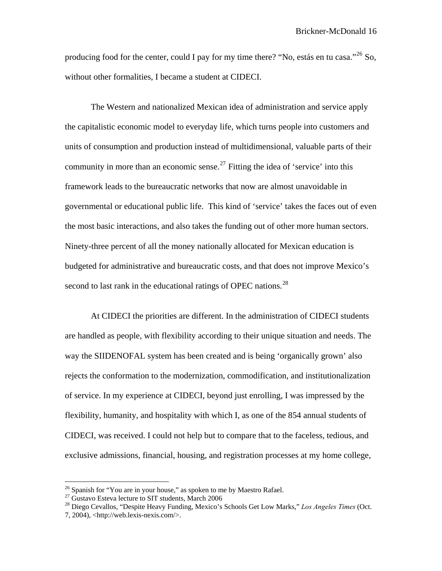producing food for the center, could I pay for my time there? "No, estás en tu casa."<sup>[26](#page-16-0)</sup> So, without other formalities, I became a student at CIDECI.

The Western and nationalized Mexican idea of administration and service apply the capitalistic economic model to everyday life, which turns people into customers and units of consumption and production instead of multidimensional, valuable parts of their community in more than an economic sense.<sup>[27](#page-16-1)</sup> Fitting the idea of 'service' into this framework leads to the bureaucratic networks that now are almost unavoidable in governmental or educational public life. This kind of 'service' takes the faces out of even the most basic interactions, and also takes the funding out of other more human sectors. Ninety-three percent of all the money nationally allocated for Mexican education is budgeted for administrative and bureaucratic costs, and that does not improve Mexico's second to last rank in the educational ratings of OPEC nations.<sup>[28](#page-16-2)</sup>

At CIDECI the priorities are different. In the administration of CIDECI students are handled as people, with flexibility according to their unique situation and needs. The way the SIIDENOFAL system has been created and is being 'organically grown' also rejects the conformation to the modernization, commodification, and institutionalization of service. In my experience at CIDECI, beyond just enrolling, I was impressed by the flexibility, humanity, and hospitality with which I, as one of the 854 annual students of CIDECI, was received. I could not help but to compare that to the faceless, tedious, and exclusive admissions, financial, housing, and registration processes at my home college,

 $^{26}$  Spanish for "You are in your house," as spoken to me by Maestro Rafael.

<span id="page-16-1"></span><span id="page-16-0"></span> $27$  Gustavo Esteva lecture to SIT students, March 2006

<span id="page-16-2"></span><sup>28</sup> Diego Cevallos, "Despite Heavy Funding, Mexico's Schools Get Low Marks," *Los Angeles Times* (Oct. 7, 2004), <http://web.lexis-nexis.com/>.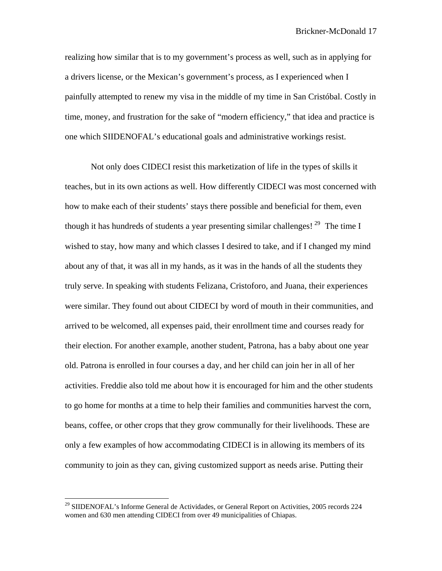realizing how similar that is to my government's process as well, such as in applying for a drivers license, or the Mexican's government's process, as I experienced when I painfully attempted to renew my visa in the middle of my time in San Cristóbal. Costly in time, money, and frustration for the sake of "modern efficiency," that idea and practice is one which SIIDENOFAL's educational goals and administrative workings resist.

Not only does CIDECI resist this marketization of life in the types of skills it teaches, but in its own actions as well. How differently CIDECI was most concerned with how to make each of their students' stays there possible and beneficial for them, even though it has hundreds of students a year presenting similar challenges!  $^{29}$  $^{29}$  $^{29}$  The time I wished to stay, how many and which classes I desired to take, and if I changed my mind about any of that, it was all in my hands, as it was in the hands of all the students they truly serve. In speaking with students Felizana, Cristoforo, and Juana, their experiences were similar. They found out about CIDECI by word of mouth in their communities, and arrived to be welcomed, all expenses paid, their enrollment time and courses ready for their election. For another example, another student, Patrona, has a baby about one year old. Patrona is enrolled in four courses a day, and her child can join her in all of her activities. Freddie also told me about how it is encouraged for him and the other students to go home for months at a time to help their families and communities harvest the corn, beans, coffee, or other crops that they grow communally for their livelihoods. These are only a few examples of how accommodating CIDECI is in allowing its members of its community to join as they can, giving customized support as needs arise. Putting their

<span id="page-17-0"></span><sup>&</sup>lt;sup>29</sup> SIIDENOFAL's Informe General de Actividades, or General Report on Activities, 2005 records 224 women and 630 men attending CIDECI from over 49 municipalities of Chiapas.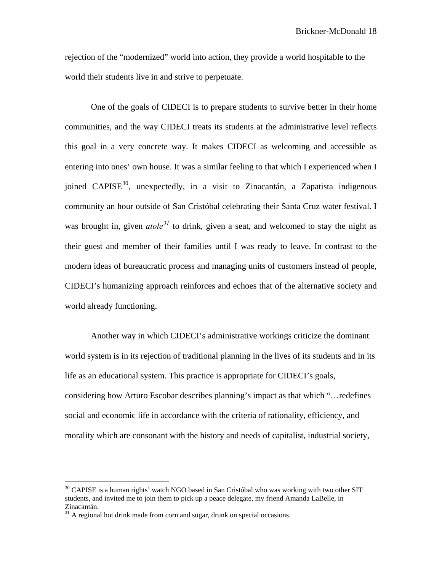rejection of the "modernized" world into action, they provide a world hospitable to the world their students live in and strive to perpetuate.

One of the goals of CIDECI is to prepare students to survive better in their home communities, and the way CIDECI treats its students at the administrative level reflects this goal in a very concrete way. It makes CIDECI as welcoming and accessible as entering into ones' own house. It was a similar feeling to that which I experienced when I joined CAPISE<sup>[30](#page-18-0)</sup>, unexpectedly, in a visit to Zinacantán, a Zapatista indigenous community an hour outside of San Cristóbal celebrating their Santa Cruz water festival. I was brought in, given *atole*<sup>[31](#page-18-1)</sup> to drink, given a seat, and welcomed to stay the night as their guest and member of their families until I was ready to leave. In contrast to the modern ideas of bureaucratic process and managing units of customers instead of people, CIDECI's humanizing approach reinforces and echoes that of the alternative society and world already functioning.

Another way in which CIDECI's administrative workings criticize the dominant world system is in its rejection of traditional planning in the lives of its students and in its life as an educational system. This practice is appropriate for CIDECI's goals, considering how Arturo Escobar describes planning's impact as that which "…redefines social and economic life in accordance with the criteria of rationality, efficiency, and morality which are consonant with the history and needs of capitalist, industrial society,

<span id="page-18-0"></span><sup>&</sup>lt;sup>30</sup> CAPISE is a human rights' watch NGO based in San Cristóbal who was working with two other SIT students, and invited me to join them to pick up a peace delegate, my friend Amanda LaBelle, in Zinacantán.

<span id="page-18-1"></span> $31$  A regional hot drink made from corn and sugar, drunk on special occasions.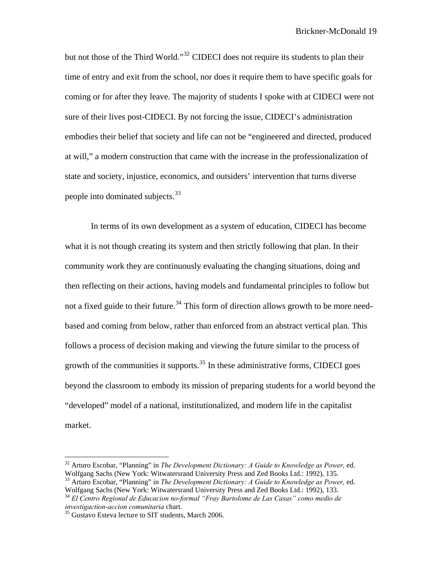but not those of the Third World."<sup>[32](#page-19-0)</sup> CIDECI does not require its students to plan their time of entry and exit from the school, nor does it require them to have specific goals for coming or for after they leave. The majority of students I spoke with at CIDECI were not sure of their lives post-CIDECI. By not forcing the issue, CIDECI's administration embodies their belief that society and life can not be "engineered and directed, produced at will," a modern construction that came with the increase in the professionalization of state and society, injustice, economics, and outsiders' intervention that turns diverse people into dominated subjects.<sup>[33](#page-19-1)</sup>

 In terms of its own development as a system of education, CIDECI has become what it is not though creating its system and then strictly following that plan. In their community work they are continuously evaluating the changing situations, doing and then reflecting on their actions, having models and fundamental principles to follow but not a fixed guide to their future.<sup>[34](#page-19-2)</sup> This form of direction allows growth to be more needbased and coming from below, rather than enforced from an abstract vertical plan. This follows a process of decision making and viewing the future similar to the process of growth of the communities it supports.<sup>[35](#page-19-3)</sup> In these administrative forms, CIDECI goes beyond the classroom to embody its mission of preparing students for a world beyond the "developed" model of a national, institutionalized, and modern life in the capitalist market.

<span id="page-19-0"></span><sup>32</sup> Arturo Escobar, "Planning" in *The Development Dictionary: A Guide to Knowledge as Power,* ed. Wolfgang Sachs (New York: Witwatersrand University Press and Zed Books Ltd.: 1992), 135.

<span id="page-19-1"></span><sup>33</sup> Arturo Escobar, "Planning" in *The Development Dictionary: A Guide to Knowledge as Power,* ed. Wolfgang Sachs (New York: Witwatersrand University Press and Zed Books Ltd.: 1992), 133.

<span id="page-19-2"></span><sup>34</sup> *El Centro Regional de Educacion no-formal "Fray Bartolome de Las Casas" como medio de* 

<span id="page-19-3"></span><sup>&</sup>lt;sup>35</sup> Gustavo Esteva lecture to SIT students, March 2006.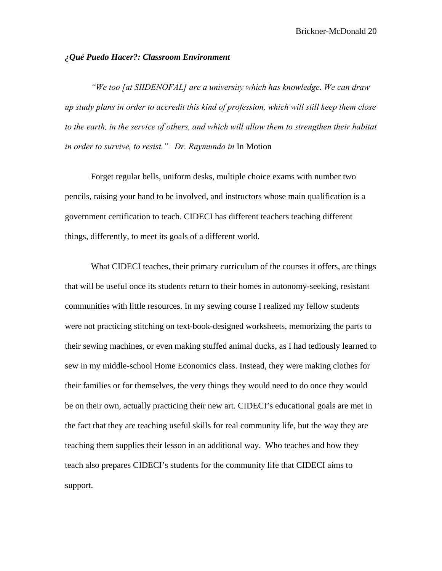#### *¿Qué Puedo Hacer?: Classroom Environment*

*"We too [at SIIDENOFAL] are a university which has knowledge. We can draw up study plans in order to accredit this kind of profession, which will still keep them close to the earth, in the service of others, and which will allow them to strengthen their habitat in order to survive, to resist." –Dr. Raymundo in* In Motion

Forget regular bells, uniform desks, multiple choice exams with number two pencils, raising your hand to be involved, and instructors whose main qualification is a government certification to teach. CIDECI has different teachers teaching different things, differently, to meet its goals of a different world.

What CIDECI teaches, their primary curriculum of the courses it offers, are things that will be useful once its students return to their homes in autonomy-seeking, resistant communities with little resources. In my sewing course I realized my fellow students were not practicing stitching on text-book-designed worksheets, memorizing the parts to their sewing machines, or even making stuffed animal ducks, as I had tediously learned to sew in my middle-school Home Economics class. Instead, they were making clothes for their families or for themselves, the very things they would need to do once they would be on their own, actually practicing their new art. CIDECI's educational goals are met in the fact that they are teaching useful skills for real community life, but the way they are teaching them supplies their lesson in an additional way. Who teaches and how they teach also prepares CIDECI's students for the community life that CIDECI aims to support.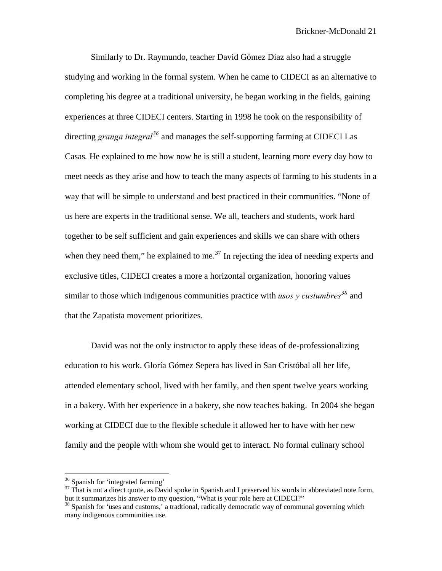Similarly to Dr. Raymundo, teacher David Gómez Díaz also had a struggle studying and working in the formal system. When he came to CIDECI as an alternative to completing his degree at a traditional university, he began working in the fields, gaining experiences at three CIDECI centers. Starting in 1998 he took on the responsibility of directing *granga integral[36](#page-21-0)* and manages the self-supporting farming at CIDECI Las Casas*.* He explained to me how now he is still a student, learning more every day how to meet needs as they arise and how to teach the many aspects of farming to his students in a way that will be simple to understand and best practiced in their communities. "None of us here are experts in the traditional sense. We all, teachers and students, work hard together to be self sufficient and gain experiences and skills we can share with others when they need them," he explained to me.<sup>[37](#page-21-1)</sup> In rejecting the idea of needing experts and exclusive titles, CIDECI creates a more a horizontal organization, honoring values similar to those which indigenous communities practice with *usos y custumbres[38](#page-21-2)* and that the Zapatista movement prioritizes.

David was not the only instructor to apply these ideas of de-professionalizing education to his work. Gloría Gómez Sepera has lived in San Cristóbal all her life, attended elementary school, lived with her family, and then spent twelve years working in a bakery. With her experience in a bakery, she now teaches baking. In 2004 she began working at CIDECI due to the flexible schedule it allowed her to have with her new family and the people with whom she would get to interact. No formal culinary school

<sup>&</sup>lt;sup>36</sup> Spanish for 'integrated farming'

<span id="page-21-1"></span><span id="page-21-0"></span> $37$  That is not a direct quote, as David spoke in Spanish and I preserved his words in abbreviated note form, but it summarizes his answer to my question, "What is your role here at CIDECI?"

<span id="page-21-2"></span> $38$  Spanish for 'uses and customs,' a tradtional, radically democratic way of communal governing which many indigenous communities use.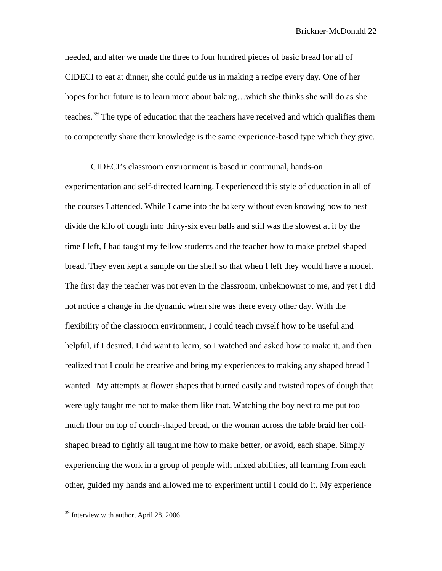needed, and after we made the three to four hundred pieces of basic bread for all of CIDECI to eat at dinner, she could guide us in making a recipe every day. One of her hopes for her future is to learn more about baking…which she thinks she will do as she teaches.<sup>[39](#page-22-0)</sup> The type of education that the teachers have received and which qualifies them to competently share their knowledge is the same experience-based type which they give.

CIDECI's classroom environment is based in communal, hands-on experimentation and self-directed learning. I experienced this style of education in all of the courses I attended. While I came into the bakery without even knowing how to best divide the kilo of dough into thirty-six even balls and still was the slowest at it by the time I left, I had taught my fellow students and the teacher how to make pretzel shaped bread. They even kept a sample on the shelf so that when I left they would have a model. The first day the teacher was not even in the classroom, unbeknownst to me, and yet I did not notice a change in the dynamic when she was there every other day. With the flexibility of the classroom environment, I could teach myself how to be useful and helpful, if I desired. I did want to learn, so I watched and asked how to make it, and then realized that I could be creative and bring my experiences to making any shaped bread I wanted. My attempts at flower shapes that burned easily and twisted ropes of dough that were ugly taught me not to make them like that. Watching the boy next to me put too much flour on top of conch-shaped bread, or the woman across the table braid her coilshaped bread to tightly all taught me how to make better, or avoid, each shape. Simply experiencing the work in a group of people with mixed abilities, all learning from each other, guided my hands and allowed me to experiment until I could do it. My experience

<span id="page-22-0"></span><sup>39</sup> Interview with author, April 28, 2006.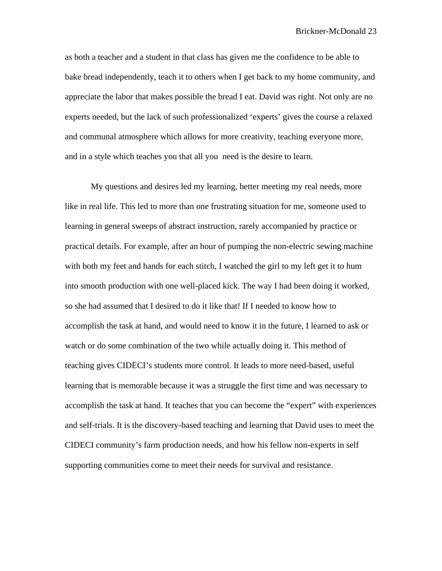as both a teacher and a student in that class has given me the confidence to be able to bake bread independently, teach it to others when I get back to my home community, and appreciate the labor that makes possible the bread I eat. David was right. Not only are no experts needed, but the lack of such professionalized 'experts' gives the course a relaxed and communal atmosphere which allows for more creativity, teaching everyone more, and in a style which teaches you that all you need is the desire to learn.

My questions and desires led my learning, better meeting my real needs, more like in real life. This led to more than one frustrating situation for me, someone used to learning in general sweeps of abstract instruction, rarely accompanied by practice or practical details. For example, after an hour of pumping the non-electric sewing machine with both my feet and hands for each stitch, I watched the girl to my left get it to hum into smooth production with one well-placed kick. The way I had been doing it worked, so she had assumed that I desired to do it like that! If I needed to know how to accomplish the task at hand, and would need to know it in the future, I learned to ask or watch or do some combination of the two while actually doing it. This method of teaching gives CIDECI's students more control. It leads to more need-based, useful learning that is memorable because it was a struggle the first time and was necessary to accomplish the task at hand. It teaches that you can become the "expert" with experiences and self-trials. It is the discovery-based teaching and learning that David uses to meet the CIDECI community's farm production needs, and how his fellow non-experts in self supporting communities come to meet their needs for survival and resistance.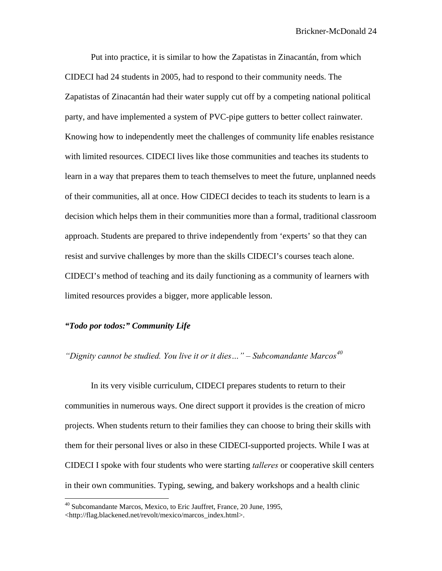Put into practice, it is similar to how the Zapatistas in Zinacantán, from which CIDECI had 24 students in 2005, had to respond to their community needs. The Zapatistas of Zinacantán had their water supply cut off by a competing national political party, and have implemented a system of PVC-pipe gutters to better collect rainwater. Knowing how to independently meet the challenges of community life enables resistance with limited resources. CIDECI lives like those communities and teaches its students to learn in a way that prepares them to teach themselves to meet the future, unplanned needs of their communities, all at once. How CIDECI decides to teach its students to learn is a decision which helps them in their communities more than a formal, traditional classroom approach. Students are prepared to thrive independently from 'experts' so that they can resist and survive challenges by more than the skills CIDECI's courses teach alone. CIDECI's method of teaching and its daily functioning as a community of learners with limited resources provides a bigger, more applicable lesson.

### *"Todo por todos:" Community Life*

*"Dignity cannot be studied. You live it or it dies…" – Subcomandante Marcos[40](#page-24-0)*

In its very visible curriculum, CIDECI prepares students to return to their communities in numerous ways. One direct support it provides is the creation of micro projects. When students return to their families they can choose to bring their skills with them for their personal lives or also in these CIDECI-supported projects. While I was at CIDECI I spoke with four students who were starting *talleres* or cooperative skill centers in their own communities. Typing, sewing, and bakery workshops and a health clinic

<span id="page-24-0"></span><sup>&</sup>lt;sup>40</sup> Subcomandante Marcos, Mexico, to Eric Jauffret, France, 20 June, 1995,

<sup>&</sup>lt;http://flag.blackened.net/revolt/mexico/marcos\_index.html>.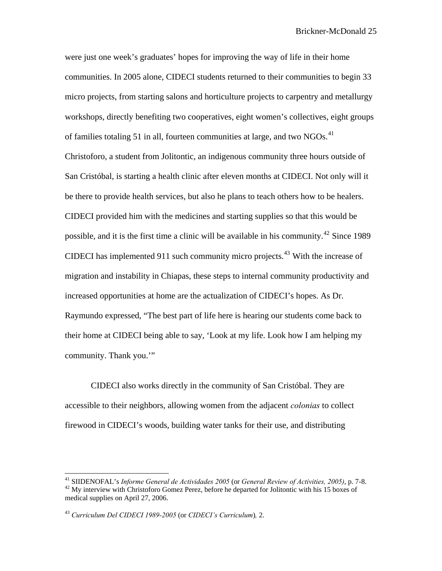were just one week's graduates' hopes for improving the way of life in their home communities. In 2005 alone, CIDECI students returned to their communities to begin 33 micro projects, from starting salons and horticulture projects to carpentry and metallurgy workshops, directly benefiting two cooperatives, eight women's collectives, eight groups of families totaling 51 in all, fourteen communities at large, and two  $NGOs<sup>41</sup>$  $NGOs<sup>41</sup>$  $NGOs<sup>41</sup>$ Christoforo, a student from Jolitontic, an indigenous community three hours outside of San Cristóbal, is starting a health clinic after eleven months at CIDECI. Not only will it be there to provide health services, but also he plans to teach others how to be healers. CIDECI provided him with the medicines and starting supplies so that this would be possible, and it is the first time a clinic will be available in his community.<sup>[42](#page-25-1)</sup> Since 1989 CIDECI has implemented 911 such community micro projects.<sup>[43](#page-25-2)</sup> With the increase of migration and instability in Chiapas, these steps to internal community productivity and increased opportunities at home are the actualization of CIDECI's hopes. As Dr. Raymundo expressed, "The best part of life here is hearing our students come back to their home at CIDECI being able to say, 'Look at my life. Look how I am helping my community. Thank you."

CIDECI also works directly in the community of San Cristóbal. They are accessible to their neighbors, allowing women from the adjacent *colonias* to collect firewood in CIDECI's woods, building water tanks for their use, and distributing

<span id="page-25-1"></span><span id="page-25-0"></span><sup>&</sup>lt;sup>41</sup> SIIDENOFAL's Informe General de Actividades 2005 (or General Review of Activities, 2005), p. 7-8. <sup>42</sup> My interview with Christoforo Gomez Perez, before he departed for Jolitontic with his 15 boxes of medical supplies on April 27, 2006.

<span id="page-25-2"></span><sup>43</sup> *Curriculum Del CIDECI 1989-2005* (or *CIDECI's Curriculum*)*,* 2.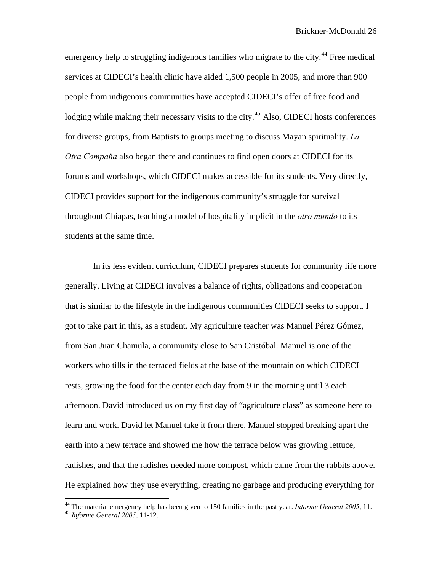emergency help to struggling indigenous families who migrate to the city.<sup>[44](#page-26-0)</sup> Free medical services at CIDECI's health clinic have aided 1,500 people in 2005, and more than 900 people from indigenous communities have accepted CIDECI's offer of free food and lodging while making their necessary visits to the city.<sup>[45](#page-26-1)</sup> Also, CIDECI hosts conferences for diverse groups, from Baptists to groups meeting to discuss Mayan spirituality. *La Otra Compaňa* also began there and continues to find open doors at CIDECI for its forums and workshops, which CIDECI makes accessible for its students. Very directly, CIDECI provides support for the indigenous community's struggle for survival throughout Chiapas, teaching a model of hospitality implicit in the *otro mundo* to its students at the same time.

 In its less evident curriculum, CIDECI prepares students for community life more generally. Living at CIDECI involves a balance of rights, obligations and cooperation that is similar to the lifestyle in the indigenous communities CIDECI seeks to support. I got to take part in this, as a student. My agriculture teacher was Manuel Pérez Gómez, from San Juan Chamula, a community close to San Cristóbal. Manuel is one of the workers who tills in the terraced fields at the base of the mountain on which CIDECI rests, growing the food for the center each day from 9 in the morning until 3 each afternoon. David introduced us on my first day of "agriculture class" as someone here to learn and work. David let Manuel take it from there. Manuel stopped breaking apart the earth into a new terrace and showed me how the terrace below was growing lettuce, radishes, and that the radishes needed more compost, which came from the rabbits above. He explained how they use everything, creating no garbage and producing everything for

<span id="page-26-1"></span><span id="page-26-0"></span><sup>&</sup>lt;sup>44</sup> The material emergency help has been given to 150 families in the past year. *Informe General 2005*, 11.<br><sup>45</sup> *Informe General 2005*, 11-12.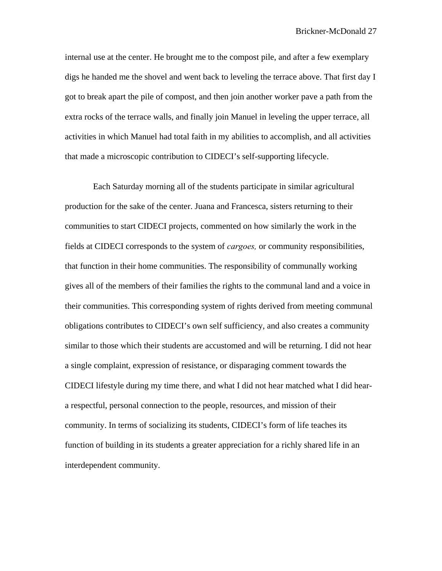internal use at the center. He brought me to the compost pile, and after a few exemplary digs he handed me the shovel and went back to leveling the terrace above. That first day I got to break apart the pile of compost, and then join another worker pave a path from the extra rocks of the terrace walls, and finally join Manuel in leveling the upper terrace, all activities in which Manuel had total faith in my abilities to accomplish, and all activities that made a microscopic contribution to CIDECI's self-supporting lifecycle.

 Each Saturday morning all of the students participate in similar agricultural production for the sake of the center. Juana and Francesca, sisters returning to their communities to start CIDECI projects, commented on how similarly the work in the fields at CIDECI corresponds to the system of *cargoes,* or community responsibilities, that function in their home communities. The responsibility of communally working gives all of the members of their families the rights to the communal land and a voice in their communities. This corresponding system of rights derived from meeting communal obligations contributes to CIDECI's own self sufficiency, and also creates a community similar to those which their students are accustomed and will be returning. I did not hear a single complaint, expression of resistance, or disparaging comment towards the CIDECI lifestyle during my time there, and what I did not hear matched what I did heara respectful, personal connection to the people, resources, and mission of their community. In terms of socializing its students, CIDECI's form of life teaches its function of building in its students a greater appreciation for a richly shared life in an interdependent community.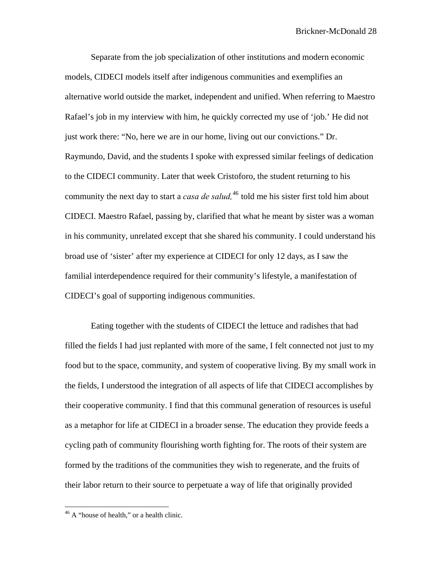Separate from the job specialization of other institutions and modern economic models, CIDECI models itself after indigenous communities and exemplifies an alternative world outside the market, independent and unified. When referring to Maestro Rafael's job in my interview with him, he quickly corrected my use of 'job.' He did not just work there: "No, here we are in our home, living out our convictions." Dr. Raymundo, David, and the students I spoke with expressed similar feelings of dedication to the CIDECI community. Later that week Cristoforo, the student returning to his community the next day to start a *casa de salud*,<sup>[46](#page-28-0)</sup> told me his sister first told him about CIDECI. Maestro Rafael, passing by, clarified that what he meant by sister was a woman in his community, unrelated except that she shared his community. I could understand his broad use of 'sister' after my experience at CIDECI for only 12 days, as I saw the familial interdependence required for their community's lifestyle, a manifestation of CIDECI's goal of supporting indigenous communities.

Eating together with the students of CIDECI the lettuce and radishes that had filled the fields I had just replanted with more of the same, I felt connected not just to my food but to the space, community, and system of cooperative living. By my small work in the fields, I understood the integration of all aspects of life that CIDECI accomplishes by their cooperative community. I find that this communal generation of resources is useful as a metaphor for life at CIDECI in a broader sense. The education they provide feeds a cycling path of community flourishing worth fighting for. The roots of their system are formed by the traditions of the communities they wish to regenerate, and the fruits of their labor return to their source to perpetuate a way of life that originally provided

<span id="page-28-0"></span><sup>&</sup>lt;sup>46</sup> A "house of health," or a health clinic.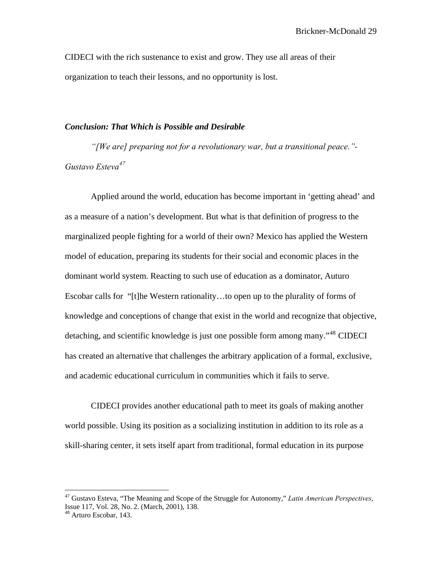CIDECI with the rich sustenance to exist and grow. They use all areas of their organization to teach their lessons, and no opportunity is lost.

#### *Conclusion: That Which is Possible and Desirable*

*"[We are] preparing not for a revolutionary war, but a transitional peace."- Gustavo Esteva[47](#page-29-0)*

Applied around the world, education has become important in 'getting ahead' and as a measure of a nation's development. But what is that definition of progress to the marginalized people fighting for a world of their own? Mexico has applied the Western model of education, preparing its students for their social and economic places in the dominant world system. Reacting to such use of education as a dominator, Auturo Escobar calls for "[t]he Western rationality…to open up to the plurality of forms of knowledge and conceptions of change that exist in the world and recognize that objective, detaching, and scientific knowledge is just one possible form among many."<sup>[48](#page-29-1)</sup> CIDECI has created an alternative that challenges the arbitrary application of a formal, exclusive, and academic educational curriculum in communities which it fails to serve.

CIDECI provides another educational path to meet its goals of making another world possible. Using its position as a socializing institution in addition to its role as a skill-sharing center, it sets itself apart from traditional, formal education in its purpose

<span id="page-29-0"></span><sup>47</sup> Gustavo Esteva, "The Meaning and Scope of the Struggle for Autonomy," *Latin American Perspectives*, Issue 117, Vol. 28, No. 2. (March, 2001), 138.

<span id="page-29-1"></span><sup>48</sup> Arturo Escobar, 143.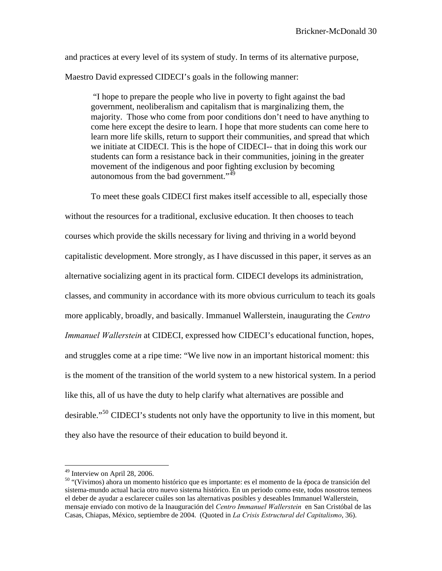and practices at every level of its system of study. In terms of its alternative purpose,

Maestro David expressed CIDECI's goals in the following manner:

"I hope to prepare the people who live in poverty to fight against the bad government, neoliberalism and capitalism that is marginalizing them, the majority. Those who come from poor conditions don't need to have anything to come here except the desire to learn. I hope that more students can come here to learn more life skills, return to support their communities, and spread that which we initiate at CIDECI. This is the hope of CIDECI-- that in doing this work our students can form a resistance back in their communities, joining in the greater movement of the indigenous and poor fighting exclusion by becoming autonomous from the bad government." $^{49}$  $^{49}$  $^{49}$ 

To meet these goals CIDECI first makes itself accessible to all, especially those without the resources for a traditional, exclusive education. It then chooses to teach courses which provide the skills necessary for living and thriving in a world beyond capitalistic development. More strongly, as I have discussed in this paper, it serves as an alternative socializing agent in its practical form. CIDECI develops its administration, classes, and community in accordance with its more obvious curriculum to teach its goals more applicably, broadly, and basically. Immanuel Wallerstein, inaugurating the *Centro Immanuel Wallerstein* at CIDECI, expressed how CIDECI's educational function, hopes, and struggles come at a ripe time: "We live now in an important historical moment: this is the moment of the transition of the world system to a new historical system. In a period like this, all of us have the duty to help clarify what alternatives are possible and desirable."[50](#page-30-1) CIDECI's students not only have the opportunity to live in this moment, but they also have the resource of their education to build beyond it.

<sup>49</sup> Interview on April 28, 2006.

<span id="page-30-1"></span><span id="page-30-0"></span><sup>50 &</sup>quot;(Vivimos) ahora un momento histórico que es importante: es el momento de la época de transición del sistema-mundo actual hacia otro nuevo sistema histórico. En un periodo como este, todos nosotros temeos el deber de ayudar a esclarecer cuáles son las alternativas posibles y deseables Immanuel Wallerstein, mensaje enviado con motivo de la Inauguración del *Centro Immanuel Wallerstein* en San Cristóbal de las Casas, Chiapas, México, septiembre de 2004. (Quoted in *La Crisis Estructural del Capitalismo*, 36).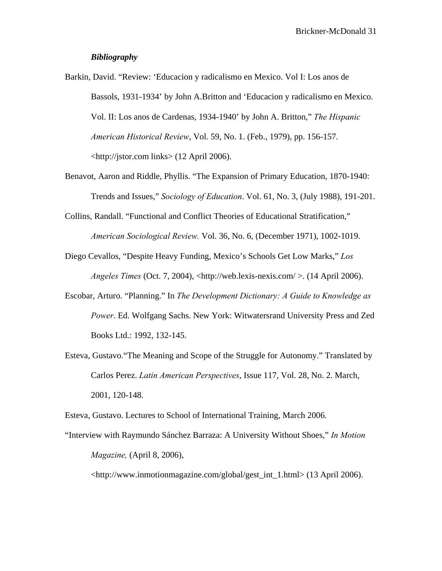#### *Bibliography*

- Barkin, David. "Review: 'Educacion y radicalismo en Mexico. Vol I: Los anos de Bassols, 1931-1934' by John A.Britton and 'Educacion y radicalismo en Mexico. Vol. II: Los anos de Cardenas, 1934-1940' by John A. Britton," *The Hispanic American Historical Review*, Vol. 59, No. 1. (Feb., 1979), pp. 156-157. <http://jstor.com links> (12 April 2006).
- Benavot, Aaron and Riddle, Phyllis. "The Expansion of Primary Education, 1870-1940: Trends and Issues," *Sociology of Education*. Vol. 61, No. 3, (July 1988), 191-201.
- Collins, Randall. "Functional and Conflict Theories of Educational Stratification," *American Sociological Review.* Vol. 36, No. 6, (December 1971), 1002-1019.
- Diego Cevallos, "Despite Heavy Funding, Mexico's Schools Get Low Marks," *Los Angeles Times (Oct. 7, 2004), <http://web.lexis-nexis.com/>. (14 April 2006).*
- Escobar, Arturo. "Planning." In *The Development Dictionary: A Guide to Knowledge as Power*. Ed. Wolfgang Sachs. New York: Witwatersrand University Press and Zed Books Ltd.: 1992, 132-145.
- Esteva, Gustavo."The Meaning and Scope of the Struggle for Autonomy." Translated by Carlos Perez. *Latin American Perspectives*, Issue 117, Vol. 28, No. 2. March, 2001, 120-148.

Esteva, Gustavo. Lectures to School of International Training, March 2006.

"Interview with Raymundo Sánchez Barraza: A University Without Shoes," *In Motion Magazine,* (April 8, 2006),

<http://www.inmotionmagazine.com/global/gest\_int\_1.html> (13 April 2006).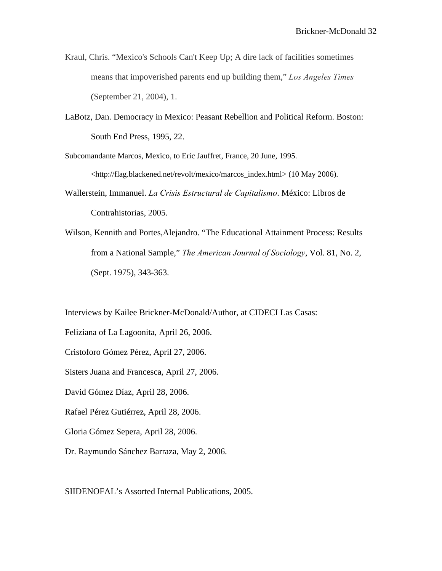- Kraul, Chris. "Mexico's Schools Can't Keep Up; A dire lack of facilities sometimes means that impoverished parents end up building them," *Los Angeles Times* (September 21, 2004), 1.
- LaBotz, Dan. Democracy in Mexico: Peasant Rebellion and Political Reform. Boston: South End Press, 1995, 22.

Subcomandante Marcos, Mexico, to Eric Jauffret, France, 20 June, 1995. <http://flag.blackened.net/revolt/mexico/marcos\_index.html> (10 May 2006).

- Wallerstein, Immanuel. *La Crisis Estructural de Capitalismo*. México: Libros de Contrahistorias, 2005.
- Wilson, Kennith and Portes,Alejandro. "The Educational Attainment Process: Results from a National Sample," *The American Journal of Sociology*, Vol. 81, No. 2, (Sept. 1975), 343-363.

Interviews by Kailee Brickner-McDonald/Author, at CIDECI Las Casas:

Feliziana of La Lagoonita, April 26, 2006.

- Cristoforo Gómez Pérez, April 27, 2006.
- Sisters Juana and Francesca, April 27, 2006.
- David Gómez Díaz, April 28, 2006.
- Rafael Pérez Gutiérrez, April 28, 2006.
- Gloria Gómez Sepera, April 28, 2006.
- Dr. Raymundo Sánchez Barraza, May 2, 2006.

SIIDENOFAL's Assorted Internal Publications, 2005.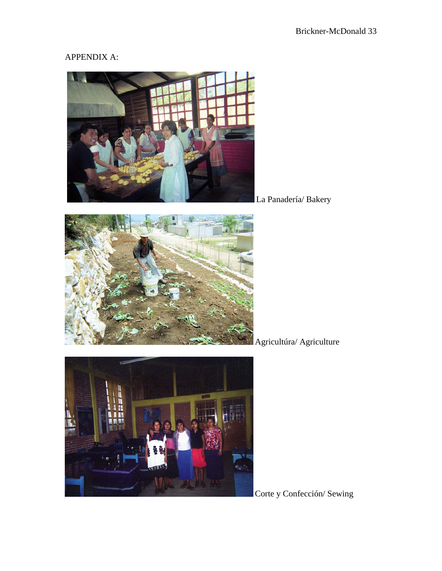## APPENDIX A:



La Panadería/ Bakery



Agricultúra/ Agriculture



Corte y Confección/ Sewing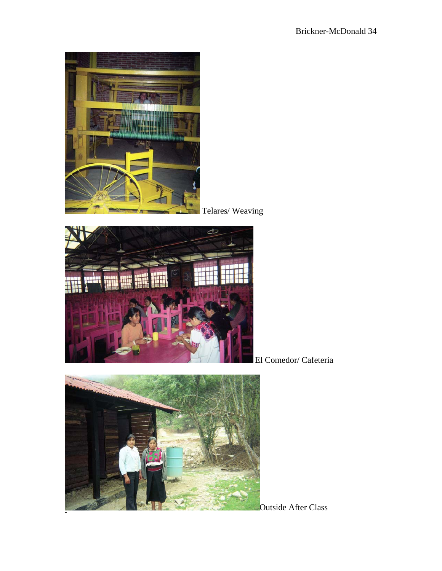

Telares/ Weaving



El Comedor/ Cafeteria



Outside After Class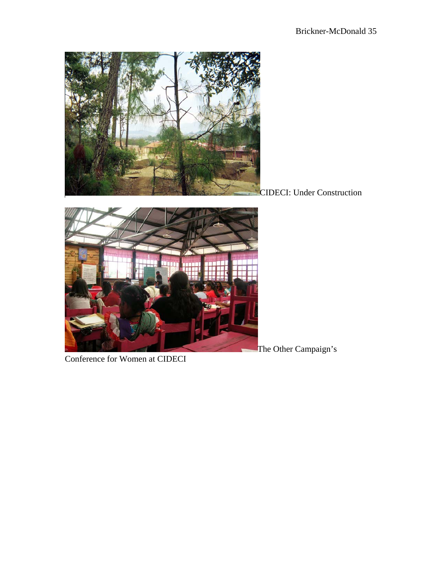

CIDECI: Under Construction



Conference for Women at CIDECI

The Other Campaign's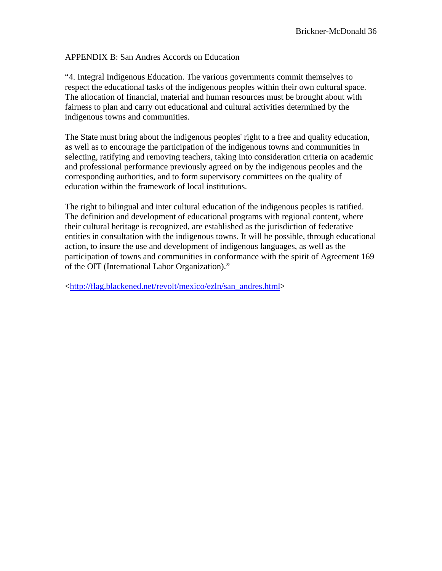APPENDIX B: San Andres Accords on Education

"4. Integral Indigenous Education. The various governments commit themselves to respect the educational tasks of the indigenous peoples within their own cultural space. The allocation of financial, material and human resources must be brought about with fairness to plan and carry out educational and cultural activities determined by the indigenous towns and communities.

The State must bring about the indigenous peoples' right to a free and quality education, as well as to encourage the participation of the indigenous towns and communities in selecting, ratifying and removing teachers, taking into consideration criteria on academic and professional performance previously agreed on by the indigenous peoples and the corresponding authorities, and to form supervisory committees on the quality of education within the framework of local institutions.

The right to bilingual and inter cultural education of the indigenous peoples is ratified. The definition and development of educational programs with regional content, where their cultural heritage is recognized, are established as the jurisdiction of federative entities in consultation with the indigenous towns. It will be possible, through educational action, to insure the use and development of indigenous languages, as well as the participation of towns and communities in conformance with the spirit of Agreement 169 of the OIT (International Labor Organization)."

<[http://flag.blackened.net/revolt/mexico/ezln/san\\_andres.html](http://flag.blackened.net/revolt/mexico/ezln/san_andres.html)>